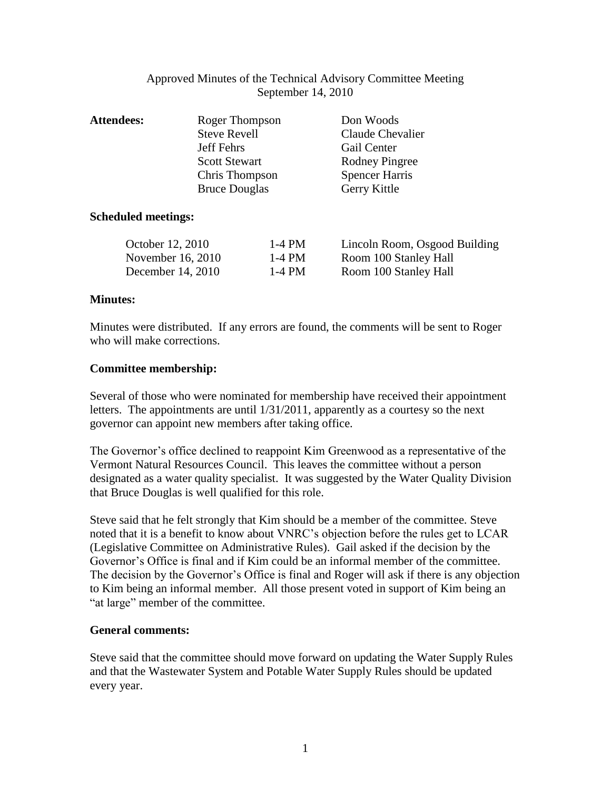## Approved Minutes of the Technical Advisory Committee Meeting September 14, 2010

| <b>Attendees:</b> | Roger Thompson       | Don Woods             |
|-------------------|----------------------|-----------------------|
|                   | <b>Steve Revell</b>  | Claude Chevalier      |
|                   | Jeff Fehrs           | Gail Center           |
|                   | <b>Scott Stewart</b> | Rodney Pingree        |
|                   | Chris Thompson       | <b>Spencer Harris</b> |
|                   | <b>Bruce Douglas</b> | Gerry Kittle          |
|                   |                      |                       |

### **Scheduled meetings:**

| October 12, 2010  | $1-4$ PM | Lincoln Room, Osgood Building |
|-------------------|----------|-------------------------------|
| November 16, 2010 | 1-4 PM   | Room 100 Stanley Hall         |
| December 14, 2010 | $1-4$ PM | Room 100 Stanley Hall         |

## **Minutes:**

Minutes were distributed. If any errors are found, the comments will be sent to Roger who will make corrections.

## **Committee membership:**

Several of those who were nominated for membership have received their appointment letters. The appointments are until 1/31/2011, apparently as a courtesy so the next governor can appoint new members after taking office.

The Governor's office declined to reappoint Kim Greenwood as a representative of the Vermont Natural Resources Council. This leaves the committee without a person designated as a water quality specialist. It was suggested by the Water Quality Division that Bruce Douglas is well qualified for this role.

Steve said that he felt strongly that Kim should be a member of the committee. Steve noted that it is a benefit to know about VNRC's objection before the rules get to LCAR (Legislative Committee on Administrative Rules). Gail asked if the decision by the Governor's Office is final and if Kim could be an informal member of the committee. The decision by the Governor's Office is final and Roger will ask if there is any objection to Kim being an informal member. All those present voted in support of Kim being an "at large" member of the committee.

### **General comments:**

Steve said that the committee should move forward on updating the Water Supply Rules and that the Wastewater System and Potable Water Supply Rules should be updated every year.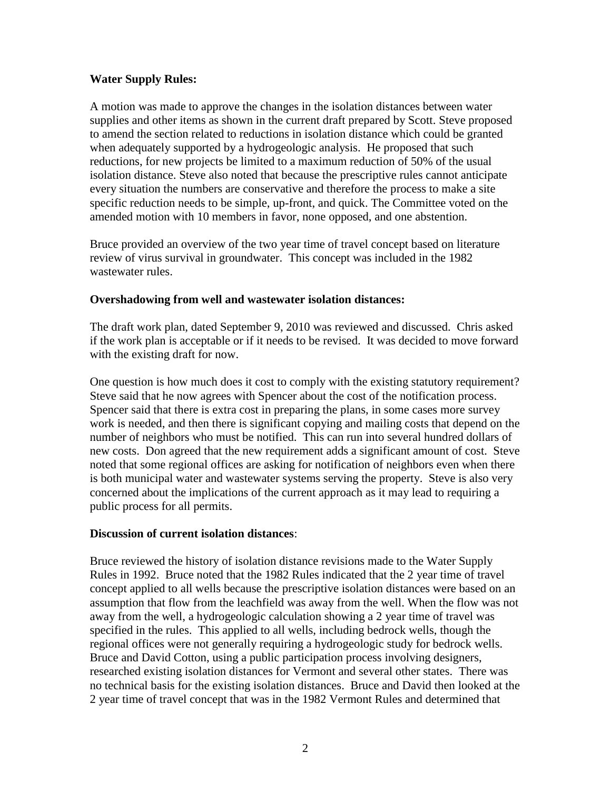## **Water Supply Rules:**

A motion was made to approve the changes in the isolation distances between water supplies and other items as shown in the current draft prepared by Scott. Steve proposed to amend the section related to reductions in isolation distance which could be granted when adequately supported by a hydrogeologic analysis. He proposed that such reductions, for new projects be limited to a maximum reduction of 50% of the usual isolation distance. Steve also noted that because the prescriptive rules cannot anticipate every situation the numbers are conservative and therefore the process to make a site specific reduction needs to be simple, up-front, and quick. The Committee voted on the amended motion with 10 members in favor, none opposed, and one abstention.

Bruce provided an overview of the two year time of travel concept based on literature review of virus survival in groundwater. This concept was included in the 1982 wastewater rules.

## **Overshadowing from well and wastewater isolation distances:**

The draft work plan, dated September 9, 2010 was reviewed and discussed. Chris asked if the work plan is acceptable or if it needs to be revised. It was decided to move forward with the existing draft for now.

One question is how much does it cost to comply with the existing statutory requirement? Steve said that he now agrees with Spencer about the cost of the notification process. Spencer said that there is extra cost in preparing the plans, in some cases more survey work is needed, and then there is significant copying and mailing costs that depend on the number of neighbors who must be notified. This can run into several hundred dollars of new costs. Don agreed that the new requirement adds a significant amount of cost. Steve noted that some regional offices are asking for notification of neighbors even when there is both municipal water and wastewater systems serving the property. Steve is also very concerned about the implications of the current approach as it may lead to requiring a public process for all permits.

### **Discussion of current isolation distances**:

Bruce reviewed the history of isolation distance revisions made to the Water Supply Rules in 1992. Bruce noted that the 1982 Rules indicated that the 2 year time of travel concept applied to all wells because the prescriptive isolation distances were based on an assumption that flow from the leachfield was away from the well. When the flow was not away from the well, a hydrogeologic calculation showing a 2 year time of travel was specified in the rules. This applied to all wells, including bedrock wells, though the regional offices were not generally requiring a hydrogeologic study for bedrock wells. Bruce and David Cotton, using a public participation process involving designers, researched existing isolation distances for Vermont and several other states. There was no technical basis for the existing isolation distances. Bruce and David then looked at the 2 year time of travel concept that was in the 1982 Vermont Rules and determined that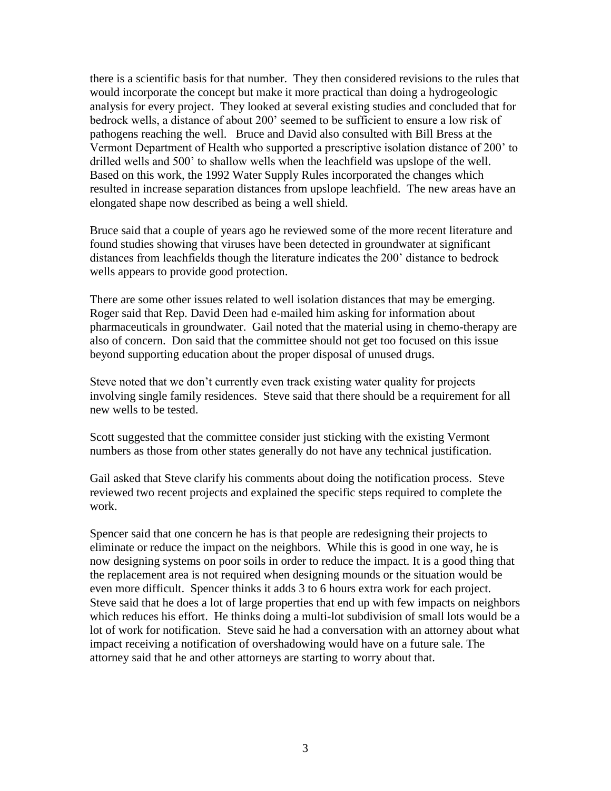there is a scientific basis for that number. They then considered revisions to the rules that would incorporate the concept but make it more practical than doing a hydrogeologic analysis for every project. They looked at several existing studies and concluded that for bedrock wells, a distance of about 200' seemed to be sufficient to ensure a low risk of pathogens reaching the well. Bruce and David also consulted with Bill Bress at the Vermont Department of Health who supported a prescriptive isolation distance of 200' to drilled wells and 500' to shallow wells when the leachfield was upslope of the well. Based on this work, the 1992 Water Supply Rules incorporated the changes which resulted in increase separation distances from upslope leachfield. The new areas have an elongated shape now described as being a well shield.

Bruce said that a couple of years ago he reviewed some of the more recent literature and found studies showing that viruses have been detected in groundwater at significant distances from leachfields though the literature indicates the 200' distance to bedrock wells appears to provide good protection.

There are some other issues related to well isolation distances that may be emerging. Roger said that Rep. David Deen had e-mailed him asking for information about pharmaceuticals in groundwater. Gail noted that the material using in chemo-therapy are also of concern. Don said that the committee should not get too focused on this issue beyond supporting education about the proper disposal of unused drugs.

Steve noted that we don't currently even track existing water quality for projects involving single family residences. Steve said that there should be a requirement for all new wells to be tested.

Scott suggested that the committee consider just sticking with the existing Vermont numbers as those from other states generally do not have any technical justification.

Gail asked that Steve clarify his comments about doing the notification process. Steve reviewed two recent projects and explained the specific steps required to complete the work.

Spencer said that one concern he has is that people are redesigning their projects to eliminate or reduce the impact on the neighbors. While this is good in one way, he is now designing systems on poor soils in order to reduce the impact. It is a good thing that the replacement area is not required when designing mounds or the situation would be even more difficult. Spencer thinks it adds 3 to 6 hours extra work for each project. Steve said that he does a lot of large properties that end up with few impacts on neighbors which reduces his effort. He thinks doing a multi-lot subdivision of small lots would be a lot of work for notification. Steve said he had a conversation with an attorney about what impact receiving a notification of overshadowing would have on a future sale. The attorney said that he and other attorneys are starting to worry about that.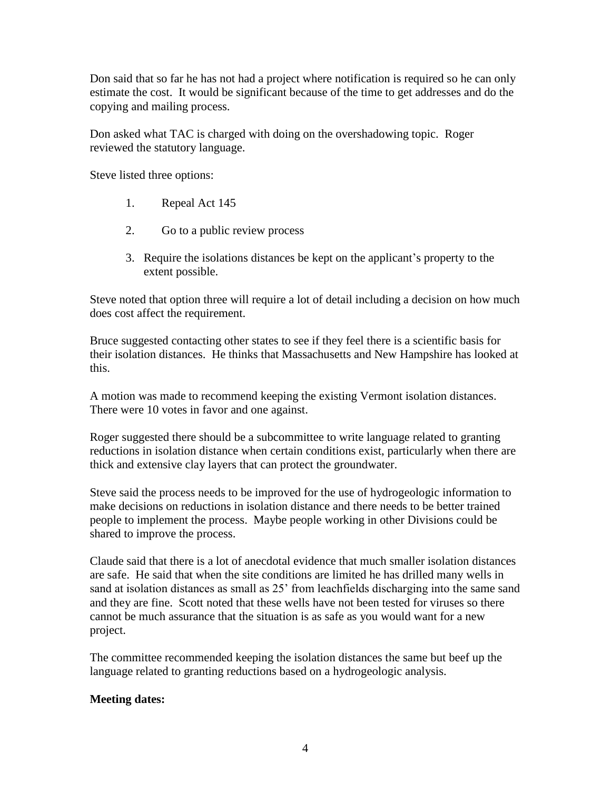Don said that so far he has not had a project where notification is required so he can only estimate the cost. It would be significant because of the time to get addresses and do the copying and mailing process.

Don asked what TAC is charged with doing on the overshadowing topic. Roger reviewed the statutory language.

Steve listed three options:

- 1. Repeal Act 145
- 2. Go to a public review process
- 3. Require the isolations distances be kept on the applicant's property to the extent possible.

Steve noted that option three will require a lot of detail including a decision on how much does cost affect the requirement.

Bruce suggested contacting other states to see if they feel there is a scientific basis for their isolation distances. He thinks that Massachusetts and New Hampshire has looked at this.

A motion was made to recommend keeping the existing Vermont isolation distances. There were 10 votes in favor and one against.

Roger suggested there should be a subcommittee to write language related to granting reductions in isolation distance when certain conditions exist, particularly when there are thick and extensive clay layers that can protect the groundwater.

Steve said the process needs to be improved for the use of hydrogeologic information to make decisions on reductions in isolation distance and there needs to be better trained people to implement the process. Maybe people working in other Divisions could be shared to improve the process.

Claude said that there is a lot of anecdotal evidence that much smaller isolation distances are safe. He said that when the site conditions are limited he has drilled many wells in sand at isolation distances as small as 25' from leachfields discharging into the same sand and they are fine. Scott noted that these wells have not been tested for viruses so there cannot be much assurance that the situation is as safe as you would want for a new project.

The committee recommended keeping the isolation distances the same but beef up the language related to granting reductions based on a hydrogeologic analysis.

# **Meeting dates:**